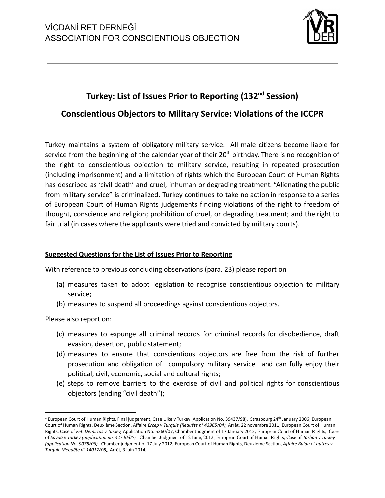

# **Turkey: List of Issues Prior to Reporting (132nd Session) Conscientious Objectors to Military Service: Violations of the ICCPR**

Turkey maintains a system of obligatory military service. All male citizens become liable for service from the beginning of the calendar year of their  $20<sup>th</sup>$  birthday. There is no recognition of the right to conscientious objection to military service, resulting in repeated prosecution (including imprisonment) and a limitation of rights which the European Court of Human Rights has described as 'civil death' and cruel, inhuman or degrading treatment. "Alienating the public from military service" is criminalized. Turkey continues to take no action in response to a series of European Court of Human Rights judgements finding violations of the right to freedom of thought, conscience and religion; prohibition of cruel, or degrading treatment; and the right to fair trial (in cases where the applicants were tried and convicted by military courts).<sup>1</sup>

## **Suggested Questions for the List of Issues Prior to Reporting**

With reference to previous concluding observations (para. 23) please report on

- (a) measures taken to adopt legislation to recognise conscientious objection to military service;
- (b) measures to suspend all proceedings against conscientious objectors.

Please also report on:

- (c) measures to expunge all criminal records for criminal records for disobedience, draft evasion, desertion, public statement;
- (d) measures to ensure that conscientious objectors are free from the risk of further prosecution and obligation of compulsory military service and can fully enjoy their political, civil, economic, social and cultural rights;
- (e) steps to remove barriers to the exercise of civil and political rights for conscientious objectors (ending "civil death");

<sup>&</sup>lt;sup>1</sup> European Court of Human Rights, Final judgement, Case Ulke v Turkey (Application No. 39437/98), Strasbourg 24<sup>th</sup> January 2006; European Court of Human Rights, Deuxième Section, Affaire *Ercep v Turquie (Requête nº 43965/04),* Arrêt, 22 novembre 2011; European Court of Human Rights, Case of *Feti Demirtas v Turkey,* Application No. 5260/07, Chamber Judgment of 17 January 2012; European Court of Human Rights, Case of *Savda v Turkey (application no. 42730/05),* Chamber Judgment of 12 June, 2012; European Court of Human Rights, Case of *Tarhan v Turkey (application No. 9078/06)*. Chamber judgment of 17 July 2012; European Court of Human Rights, Deuxième Section, *Affaire Buldu et autres v Turquie (Requête n <sup>o</sup> 14017/08),* Arrêt, 3 juin 2014;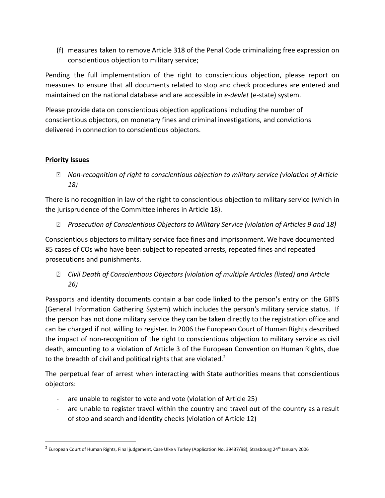(f) measures taken to remove Article 318 of the Penal Code criminalizing free expression on conscientious objection to military service;

Pending the full implementation of the right to conscientious objection, please report on measures to ensure that all documents related to stop and check procedures are entered and maintained on the national database and are accessible in *e-devlet* (e-state) system.

Please provide data on conscientious objection applications including the number of conscientious objectors, on monetary fines and criminal investigations, and convictions delivered in connection to conscientious objectors.

## **Priority Issues**

*⮚ Non-recognition of right to conscientious objection to military service (violation of Article 18)*

There is no recognition in law of the right to conscientious objection to military service (which in the jurisprudence of the Committee inheres in Article 18).

*⮚ Prosecution of Conscientious Objectors to Military Service (violation of Articles 9 and 18)*

Conscientious objectors to military service face fines and imprisonment. We have documented 85 cases of COs who have been subject to repeated arrests, repeated fines and repeated prosecutions and punishments.

*⮚ Civil Death of Conscientious Objectors (violation of multiple Articles (listed) and Article 26)*

Passports and identity documents contain a bar code linked to the person's entry on the GBTS (General Information Gathering System) which includes the person's military service status. If the person has not done military service they can be taken directly to the registration office and can be charged if not willing to register. In 2006 the European Court of Human Rights described the impact of non-recognition of the right to conscientious objection to military service as civil death, amounting to a violation of Article 3 of the European Convention on Human Rights, due to the breadth of civil and political rights that are violated. $2$ 

The perpetual fear of arrest when interacting with State authorities means that conscientious objectors:

- are unable to register to vote and vote (violation of Article 25)
- are unable to register travel within the country and travel out of the country as a result of stop and search and identity checks (violation of Article 12)

<sup>&</sup>lt;sup>2</sup> European Court of Human Rights, Final judgement, Case Ulke v Turkey (Application No. 39437/98), Strasbourg 24<sup>th</sup> January 2006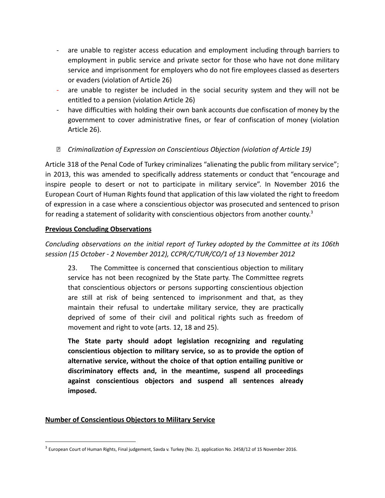- are unable to register access education and employment including through barriers to employment in public service and private sector for those who have not done military service and imprisonment for employers who do not fire employees classed as deserters or evaders (violation of Article 26)
- are unable to register be included in the social security system and they will not be entitled to a pension (violation Article 26)
- have difficulties with holding their own bank accounts due confiscation of money by the government to cover administrative fines, or fear of confiscation of money (violation Article 26).
- *⮚ Criminalization of Expression on Conscientious Objection (violation of Article 19)*

Article 318 of the Penal Code of Turkey criminalizes "alienating the public from military service"; in 2013, this was amended to specifically address statements or conduct that "encourage and inspire people to desert or not to participate in military service". In November 2016 the European Court of Human Rights found that application of this law violated the right to freedom of expression in a case where a conscientious objector was prosecuted and sentenced to prison for reading a statement of solidarity with conscientious objectors from another county.<sup>3</sup>

## **Previous Concluding Observations**

*Concluding observations on the initial report of Turkey adopted by the Committee at its 106th session (15 October - 2 November 2012), CCPR/C/TUR/CO/1 of 13 November 2012*

23. The Committee is concerned that conscientious objection to military service has not been recognized by the State party. The Committee regrets that conscientious objectors or persons supporting conscientious objection are still at risk of being sentenced to imprisonment and that, as they maintain their refusal to undertake military service, they are practically deprived of some of their civil and political rights such as freedom of movement and right to vote (arts. 12, 18 and 25).

**The State party should adopt legislation recognizing and regulating conscientious objection to military service, so as to provide the option of alternative service, without the choice of that option entailing punitive or discriminatory effects and, in the meantime, suspend all proceedings against conscientious objectors and suspend all sentences already imposed.**

## **Number of Conscientious Objectors to Military Service**

<sup>3</sup> European Court of Human Rights, Final judgement, Savda v. Turkey (No. 2), application No. 2458/12 of 15 November 2016.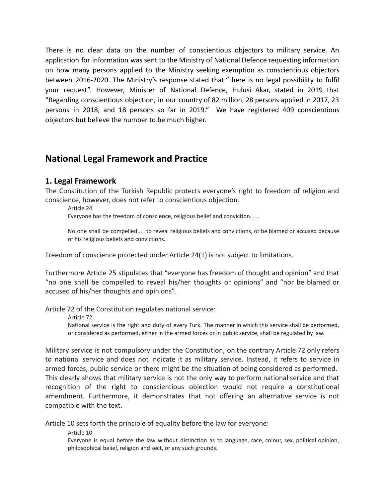There is no clear data on the number of conscientious objectors to military service. An application for information was sent to the Ministry of National Defence requesting information on how many persons applied to the Ministry seeking exemption as conscientious objectors between 2016-2020. The Ministry's response stated that "there is no legal possibility to fulfil your request". However, Minister of National Defence, Hulusi Akar, stated in 2019 that "Regarding conscientious objection, in our country of 82 million, 28 persons applied in 2017, 23 persons in 2018, and 18 persons so far in 2019." We have registered 409 conscientious objectors but believe the number to be much higher.

# **National Legal Framework and Practice**

# **1. Legal Framework**

The Constitution of the Turkish Republic protects everyone's right to freedom of religion and conscience, however, does not refer to conscientious objection.

Article 24 Everyone has the freedom of conscience, religious belief and conviction. …

No one shall be compelled … to reveal religious beliefs and convictions, or be blamed or accused because of his religious beliefs and convictions.

Freedom of conscience protected under Article 24(1) is not subject to limitations.

Furthermore Article 25 stipulates that "everyone has freedom of thought and opinion" and that "no one shall be compelled to reveal his/her thoughts or opinions" and "nor be blamed or accused of his/her thoughts and opinions".

Article 72 of the Constitution regulates national service:

Article 72

National service is the right and duty of every Turk. The manner in which this service shall be performed, or considered as performed, either in the armed forces or in public service, shall be regulated by law.

Military service is not compulsory under the Constitution, on the contrary Article 72 only refers to national service and does not indicate it as military service. Instead, it refers to service in armed forces, public service or there might be the situation of being considered as performed. This clearly shows that military service is not the only way to perform national service and that recognition of the right to conscientious objection would not require a constitutional amendment. Furthermore, it demonstrates that not offering an alternative service is not compatible with the text.

Article 10 sets forth the principle of equality before the law for everyone:

Article 10

Everyone is equal before the law without distinction as to language, race, colour, sex, political opinion, philosophical belief, religion and sect, or any such grounds.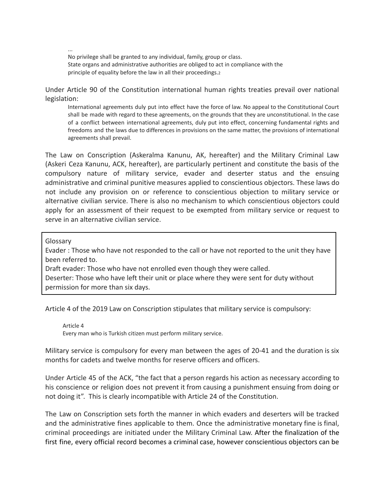... No privilege shall be granted to any individual, family, group or class. State organs and administrative authorities are obliged to act in compliance with the principle of equality before the law in all their proceedings.<sup>2</sup>

Under Article 90 of the Constitution international human rights treaties prevail over national legislation:

International agreements duly put into effect have the force of law. No appeal to the Constitutional Court shall be made with regard to these agreements, on the grounds that they are unconstitutional. In the case of a conflict between international agreements, duly put into effect, concerning fundamental rights and freedoms and the laws due to differences in provisions on the same matter, the provisions of international agreements shall prevail.

The Law on Conscription (Askeralma Kanunu, AK, hereafter) and the Military Criminal Law (Askeri Ceza Kanunu, ACK, hereafter), are particularly pertinent and constitute the basis of the compulsory nature of military service, evader and deserter status and the ensuing administrative and criminal punitive measures applied to conscientious objectors. These laws do not include any provision on or reference to conscientious objection to military service or alternative civilian service. There is also no mechanism to which conscientious objectors could apply for an assessment of their request to be exempted from military service or request to serve in an alternative civilian service.

Glossary

Evader : Those who have not responded to the call or have not reported to the unit they have been referred to.

Draft evader: Those who have not enrolled even though they were called.

Deserter: Those who have left their unit or place where they were sent for duty without permission for more than six days.

Article 4 of the 2019 Law on Conscription stipulates that military service is compulsory:

Article 4 Every man who is Turkish citizen must perform military service.

Military service is compulsory for every man between the ages of 20-41 and the duration is six months for cadets and twelve months for reserve officers and officers.

Under Article 45 of the ACK, "the fact that a person regards his action as necessary according to his conscience or religion does not prevent it from causing a punishment ensuing from doing or not doing it". This is clearly incompatible with Article 24 of the Constitution.

The Law on Conscription sets forth the manner in which evaders and deserters will be tracked and the administrative fines applicable to them. Once the administrative monetary fine is final, criminal proceedings are initiated under the Military Criminal Law. After the finalization of the first fine, every official record becomes a criminal case, however conscientious objectors can be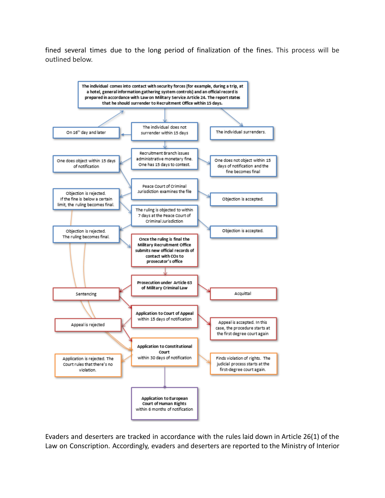fined several times due to the long period of finalization of the fines. This process will be outlined below.



Evaders and deserters are tracked in accordance with the rules laid down in Article 26(1) of the Law on Conscription. Accordingly, evaders and deserters are reported to the Ministry of Interior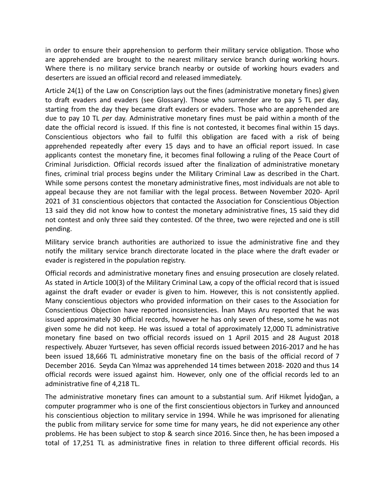in order to ensure their apprehension to perform their military service obligation. Those who are apprehended are brought to the nearest military service branch during working hours. Where there is no military service branch nearby or outside of working hours evaders and deserters are issued an official record and released immediately.

Article 24(1) of the Law on Conscription lays out the fines (administrative monetary fines) given to draft evaders and evaders (see Glossary). Those who surrender are to pay 5 TL per day, starting from the day they became draft evaders or evaders. Those who are apprehended are due to pay 10 TL *per* day. Administrative monetary fines must be paid within a month of the date the official record is issued. If this fine is not contested, it becomes final within 15 days. Conscientious objectors who fail to fulfil this obligation are faced with a risk of being apprehended repeatedly after every 15 days and to have an official report issued. In case applicants contest the monetary fine, it becomes final following a ruling of the Peace Court of Criminal Jurisdiction. Official records issued after the finalization of administrative monetary fines, criminal trial process begins under the Military Criminal Law as described in the Chart. While some persons contest the monetary administrative fines, most individuals are not able to appeal because they are not familiar with the legal process. Between November 2020- April 2021 of 31 conscientious objectors that contacted the Association for Conscientious Objection 13 said they did not know how to contest the monetary administrative fines, 15 said they did not contest and only three said they contested. Of the three, two were rejected and one is still pending.

Military service branch authorities are authorized to issue the administrative fine and they notify the military service branch directorate located in the place where the draft evader or evader is registered in the population registry.

Official records and administrative monetary fines and ensuing prosecution are closely related. As stated in Article 100(3) of the Military Criminal Law, a copy of the official record that is issued against the draft evader or evader is given to him. However, this is not consistently applied. Many conscientious objectors who provided information on their cases to the Association for Conscientious Objection have reported inconsistencies. İnan Mayıs Aru reported that he was issued approximately 30 official records, however he has only seven of these, some he was not given some he did not keep. He was issued a total of approximately 12,000 TL administrative monetary fine based on two official records issued on 1 April 2015 and 28 August 2018 respectively. Abuzer Yurtsever, has seven official records issued between 2016-2017 and he has been issued 18,666 TL administrative monetary fine on the basis of the official record of 7 December 2016. Seyda Can Yılmaz was apprehended 14 times between 2018- 2020 and thus 14 official records were issued against him. However, only one of the official records led to an administrative fine of 4,218 TL.

The administrative monetary fines can amount to a substantial sum. Arif Hikmet İyidoğan, a computer programmer who is one of the first conscientious objectors in Turkey and announced his conscientious objection to military service in 1994. While he was imprisoned for alienating the public from military service for some time for many years, he did not experience any other problems. He has been subject to stop & search since 2016. Since then, he has been imposed a total of 17,251 TL as administrative fines in relation to three different official records. His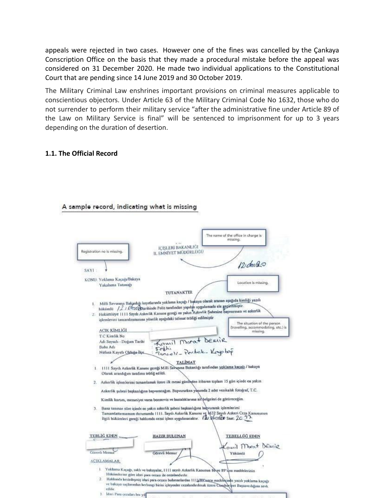appeals were rejected in two cases. However one of the fines was cancelled by the Çankaya Conscription Office on the basis that they made a procedural mistake before the appeal was considered on 31 December 2020. He made two individual applications to the Constitutional Court that are pending since 14 June 2019 and 30 October 2019.

The Military Criminal Law enshrines important provisions on criminal measures applicable to conscientious objectors. Under Article 63 of the Military Criminal Code No 1632, those who do not surrender to perform their military service "after the administrative fine under Article 89 of the Law on Military Service is final" will be sentenced to imprisonment for up to 3 years depending on the duration of desertion.

#### **1.1. The Official Record**

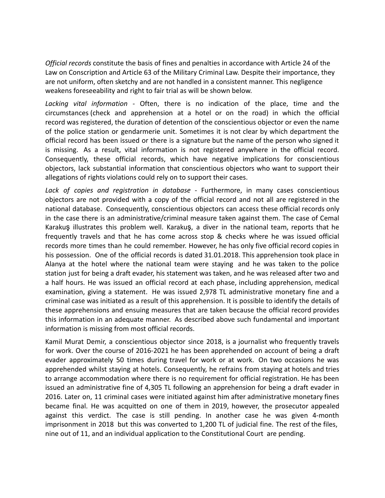*Official records* constitute the basis of fines and penalties in accordance with Article 24 of the Law on Conscription and Article 63 of the Military Criminal Law. Despite their importance, they are not uniform, often sketchy and are not handled in a consistent manner. This negligence weakens foreseeability and right to fair trial as will be shown below.

*Lacking vital information* - Often, there is no indication of the place, time and the circumstances (check and apprehension at a hotel or on the road) in which the official record was registered, the duration of detention of the conscientious objector or even the name of the police station or gendarmerie unit. Sometimes it is not clear by which department the official record has been issued or there is a signature but the name of the person who signed it is missing. As a result, vital information is not registered anywhere in the official record. Consequently, these official records, which have negative implications for conscientious objectors, lack substantial information that conscientious objectors who want to support their allegations of rights violations could rely on to support their cases.

*Lack of copies and registration in database* - Furthermore, in many cases conscientious objectors are not provided with a copy of the official record and not all are registered in the national database. Consequently, conscientious objectors can access these official records only in the case there is an administrative/criminal measure taken against them. The case of Cemal Karakuş illustrates this problem well. Karakuş, a diver in the national team, reports that he frequently travels and that he has come across stop & checks where he was issued official records more times than he could remember. However, he has only five official record copies in his possession. One of the official records is dated 31.01.2018. This apprehension took place in Alanya at the hotel where the national team were staying and he was taken to the police station just for being a draft evader, his statement was taken, and he was released after two and a half hours. He was issued an official record at each phase, including apprehension, medical examination, giving a statement. He was issued 2,978 TL administrative monetary fine and a criminal case was initiated as a result of this apprehension. It is possible to identify the details of these apprehensions and ensuing measures that are taken because the official record provides this information in an adequate manner. As described above such fundamental and important information is missing from most official records.

Kamil Murat Demir, a conscientious objector since 2018, is a journalist who frequently travels for work. Over the course of 2016-2021 he has been apprehended on account of being a draft evader approximately 50 times during travel for work or at work. On two occasions he was apprehended whilst staying at hotels. Consequently, he refrains from staying at hotels and tries to arrange accommodation where there is no requirement for official registration. He has been issued an administrative fine of 4,305 TL following an apprehension for being a draft evader in 2016. Later on, 11 criminal cases were initiated against him after administrative monetary fines became final. He was acquitted on one of them in 2019, however, the prosecutor appealed against this verdict. The case is still pending. In another case he was given 4-month imprisonment in 2018 but this was converted to 1,200 TL of judicial fine. The rest of the files, nine out of 11, and an individual application to the Constitutional Court are pending.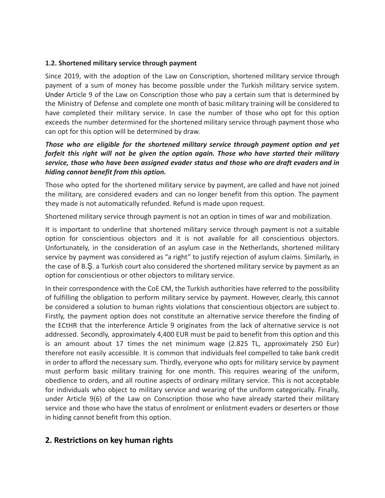## **1.2. Shortened military service through payment**

Since 2019, with the adoption of the Law on Conscription, shortened military service through payment of a sum of money has become possible under the Turkish military service system. Under Article 9 of the Law on Conscription those who pay a certain sum that is determined by the Ministry of Defense and complete one month of basic military training will be considered to have completed their military service. In case the number of those who opt for this option exceeds the number determined for the shortened military service through payment those who can opt for this option will be determined by draw.

# *Those who are eligible for the shortened military service through payment option and yet forfeit this right will not be given the option again. Those who have started their military service, those who have been assigned evader status and those who are draft evaders and in hiding cannot benefit from this option.*

Those who opted for the shortened military service by payment, are called and have not joined the military, are considered evaders and can no longer benefit from this option. The payment they made is not automatically refunded. Refund is made upon request.

Shortened military service through payment is not an option in times of war and mobilization.

It is important to underline that shortened military service through payment is not a suitable option for conscientious objectors and it is not available for all conscientious objectors. Unfortunately, in the consideration of an asylum case in the Netherlands, shortened military service by payment was considered as "a right" to justify rejection of asylum claims. Similarly, in the case of B.Ş. a Turkish court also considered the shortened military service by payment as an option for conscientious or other objectors to military service.

In their correspondence with the CoE CM, the Turkish authorities have referred to the possibility of fulfilling the obligation to perform military service by payment. However, clearly, this cannot be considered a solution to human rights violations that conscientious objectors are subject to. Firstly, the payment option does not constitute an alternative service therefore the finding of the ECtHR that the interference Article 9 originates from the lack of alternative service is not addressed. Secondly, approximately 4,400 EUR must be paid to benefit from this option and this is an amount about 17 times the net minimum wage (2.825 TL, approximately 250 Eur) therefore not easily accessible. It is common that individuals feel compelled to take bank credit in order to afford the necessary sum. Thirdly, everyone who opts for military service by payment must perform basic military training for one month. This requires wearing of the uniform, obedience to orders, and all routine aspects of ordinary military service. This is not acceptable for individuals who object to military service and wearing of the uniform categorically. Finally, under Article 9(6) of the Law on Conscription those who have already started their military service and those who have the status of enrolment or enlistment evaders or deserters or those in hiding cannot benefit from this option.

# **2. Restrictions on key human rights**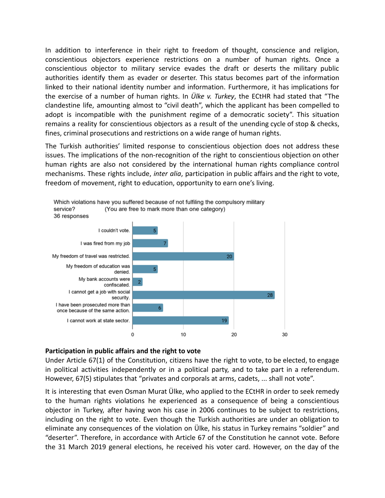In addition to interference in their right to freedom of thought, conscience and religion, conscientious objectors experience restrictions on a number of human rights. Once a conscientious objector to military service evades the draft or deserts the military public authorities identify them as evader or deserter. This status becomes part of the information linked to their national identity number and information. Furthermore, it has implications for the exercise of a number of human rights. In *Ülke v. Turkey*, the ECtHR had stated that "The clandestine life, amounting almost to "civil death", which the applicant has been compelled to adopt is incompatible with the punishment regime of a democratic society". This situation remains a reality for conscientious objectors as a result of the unending cycle of stop & checks, fines, criminal prosecutions and restrictions on a wide range of human rights.

The Turkish authorities' limited response to conscientious objection does not address these issues. The implications of the non-recognition of the right to conscientious objection on other human rights are also not considered by the international human rights compliance control mechanisms. These rights include, *inter alia*, participation in public affairs and the right to vote, freedom of movement, right to education, opportunity to earn one's living.



#### **Participation in public affairs and the right to vote**

Under Article 67(1) of the Constitution, citizens have the right to vote, to be elected, to engage in political activities independently or in a political party, and to take part in a referendum. However, 67(5) stipulates that "privates and corporals at arms, cadets, ... shall not vote".

It is interesting that even Osman Murat Ülke, who applied to the ECtHR in order to seek remedy to the human rights violations he experienced as a consequence of being a conscientious objector in Turkey, after having won his case in 2006 continues to be subject to restrictions, including on the right to vote. Even though the Turkish authorities are under an obligation to eliminate any consequences of the violation on Ülke, his status in Turkey remains "soldier" and "deserter". Therefore, in accordance with Article 67 of the Constitution he cannot vote. Before the 31 March 2019 general elections, he received his voter card. However, on the day of the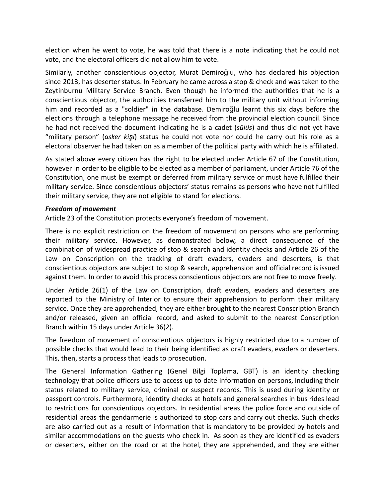election when he went to vote, he was told that there is a note indicating that he could not vote, and the electoral officers did not allow him to vote.

Similarly, another conscientious objector, Murat Demiroğlu, who has declared his objection since 2013, has deserter status. In February he came across a stop & check and was taken to the Zeytinburnu Military Service Branch. Even though he informed the authorities that he is a conscientious objector, the authorities transferred him to the military unit without informing him and recorded as a "soldier" in the database. Demiroğlu learnt this six days before the elections through a telephone message he received from the provincial election council. Since he had not received the document indicating he is a cadet (*sülüs*) and thus did not yet have "military person" (*asker kişi*) status he could not vote nor could he carry out his role as a electoral observer he had taken on as a member of the political party with which he is affiliated.

As stated above every citizen has the right to be elected under Article 67 of the Constitution, however in order to be eligible to be elected as a member of parliament, under Article 76 of the Constitution, one must be exempt or deferred from military service or must have fulfilled their military service. Since conscientious objectors' status remains as persons who have not fulfilled their military service, they are not eligible to stand for elections.

#### *Freedom of movement*

Article 23 of the Constitution protects everyone's freedom of movement.

There is no explicit restriction on the freedom of movement on persons who are performing their military service. However, as demonstrated below, a direct consequence of the combination of widespread practice of stop & search and identity checks and Article 26 of the Law on Conscription on the tracking of draft evaders, evaders and deserters, is that conscientious objectors are subject to stop & search, apprehension and official record is issued against them. In order to avoid this process conscientious objectors are not free to move freely.

Under Article 26(1) of the Law on Conscription, draft evaders, evaders and deserters are reported to the Ministry of Interior to ensure their apprehension to perform their military service. Once they are apprehended, they are either brought to the nearest Conscription Branch and/or released, given an official record, and asked to submit to the nearest Conscription Branch within 15 days under Article 36(2).

The freedom of movement of conscientious objectors is highly restricted due to a number of possible checks that would lead to their being identified as draft evaders, evaders or deserters. This, then, starts a process that leads to prosecution.

The General Information Gathering (Genel Bilgi Toplama, GBT) is an identity checking technology that police officers use to access up to date information on persons, including their status related to military service, criminal or suspect records. This is used during identity or passport controls. Furthermore, identity checks at hotels and general searches in bus rides lead to restrictions for conscientious objectors. In residential areas the police force and outside of residential areas the gendarmerie is authorized to stop cars and carry out checks. Such checks are also carried out as a result of information that is mandatory to be provided by hotels and similar accommodations on the guests who check in. As soon as they are identified as evaders or deserters, either on the road or at the hotel, they are apprehended, and they are either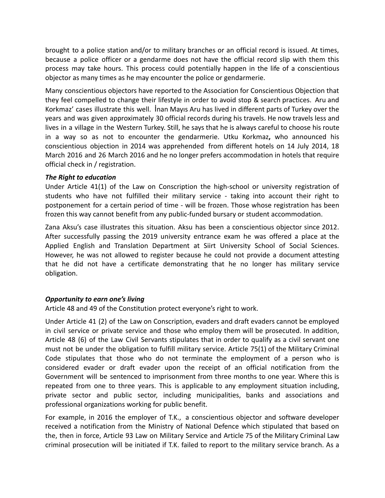brought to a police station and/or to military branches or an official record is issued. At times, because a police officer or a gendarme does not have the official record slip with them this process may take hours. This process could potentially happen in the life of a conscientious objector as many times as he may encounter the police or gendarmerie.

Many conscientious objectors have reported to the Association for Conscientious Objection that they feel compelled to change their lifestyle in order to avoid stop & search practices. Aru and Korkmaz' cases illustrate this well. İnan Mayıs Aru has lived in different parts of Turkey over the years and was given approximately 30 official records during his travels. He now travels less and lives in a village in the Western Turkey. Still, he says that he is always careful to choose his route in a way so as not to encounter the gendarmerie. Utku Korkmaz**,** who announced his conscientious objection in 2014 was apprehended from different hotels on 14 July 2014, 18 March 2016 and 26 March 2016 and he no longer prefers accommodation in hotels that require official check in / registration.

#### *The Right to education*

Under Article 41(1) of the Law on Conscription the high-school or university registration of students who have not fulfilled their military service - taking into account their right to postponement for a certain period of time - will be frozen. Those whose registration has been frozen this way cannot benefit from any public-funded bursary or student accommodation.

Zana Aksu's case illustrates this situation. Aksu has been a conscientious objector since 2012. After successfully passing the 2019 university entrance exam he was offered a place at the Applied English and Translation Department at Siirt University School of Social Sciences. However, he was not allowed to register because he could not provide a document attesting that he did not have a certificate demonstrating that he no longer has military service obligation.

#### *Opportunity to earn one's living*

Article 48 and 49 of the Constitution protect everyone's right to work.

Under Article 41 (2) of the Law on Conscription, evaders and draft evaders cannot be employed in civil service or private service and those who employ them will be prosecuted. In addition, Article 48 (6) of the Law Civil Servants stipulates that in order to qualify as a civil servant one must not be under the obligation to fulfill military service. Article 75(1) of the Military Criminal Code stipulates that those who do not terminate the employment of a person who is considered evader or draft evader upon the receipt of an official notification from the Government will be sentenced to imprisonment from three months to one year. Where this is repeated from one to three years. This is applicable to any employment situation including, private sector and public sector, including municipalities, banks and associations and professional organizations working for public benefit.

For example, in 2016 the employer of T.K., a conscientious objector and software developer received a notification from the Ministry of National Defence which stipulated that based on the, then in force, Article 93 Law on Military Service and Article 75 of the Military Criminal Law criminal prosecution will be initiated if T.K. failed to report to the military service branch. As a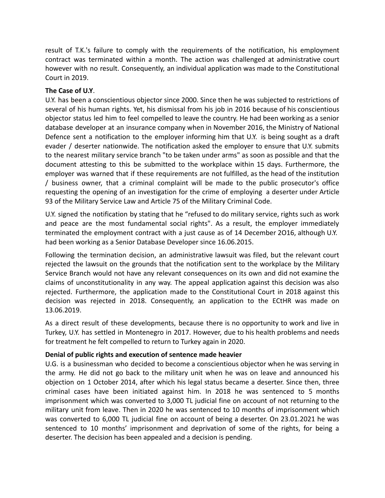result of T.K.'s failure to comply with the requirements of the notification, his employment contract was terminated within a month. The action was challenged at administrative court however with no result. Consequently, an individual application was made to the Constitutional Court in 2019.

#### **The Case of U.Y**.

U.Y. has been a conscientious objector since 2000. Since then he was subjected to restrictions of several of his human rights. Yet, his dismissal from his job in 2016 because of his conscientious objector status led him to feel compelled to leave the country. He had been working as a senior database developer at an insurance company when in November 2016, the Ministry of National Defence sent a notification to the employer informing him that U.Y. is being sought as a draft evader / deserter nationwide. The notification asked the employer to ensure that U.Y. submits to the nearest military service branch "to be taken under arms" as soon as possible and that the document attesting to this be submitted to the workplace within 15 days. Furthermore, the employer was warned that if these requirements are not fulfilled, as the head of the institution / business owner, that a criminal complaint will be made to the public prosecutor's office requesting the opening of an investigation for the crime of employing a deserter under Article 93 of the Military Service Law and Article 75 of the Military Criminal Code.

U.Y. signed the notification by stating that he "refused to do military service, rights such as work and peace are the most fundamental social rights". As a result, the employer immediately terminated the employment contract with a just cause as of 14 December 2O16, although U.Y. had been working as a Senior Database Developer since 16.06.2015.

Following the termination decision, an administrative lawsuit was filed, but the relevant court rejected the lawsuit on the grounds that the notification sent to the workplace by the Military Service Branch would not have any relevant consequences on its own and did not examine the claims of unconstitutionality in any way. The appeal application against this decision was also rejected. Furthermore, the application made to the Constitutional Court in 2018 against this decision was rejected in 2018. Consequently, an application to the ECtHR was made on 13.06.2019.

As a direct result of these developments, because there is no opportunity to work and live in Turkey, U.Y. has settled in Montenegro in 2017. However, due to his health problems and needs for treatment he felt compelled to return to Turkey again in 2020.

## **Denial of public rights and execution of sentence made heavier**

U.G. is a businessman who decided to become a conscientious objector when he was serving in the army. He did not go back to the military unit when he was on leave and announced his objection on 1 October 2014, after which his legal status became a deserter. Since then, three criminal cases have been initiated against him. In 2018 he was sentenced to 5 months imprisonment which was converted to 3,000 TL judicial fine on account of not returning to the military unit from leave. Then in 2020 he was sentenced to 10 months of imprisonment which was converted to 6,000 TL judicial fine on account of being a deserter. On 23.01.2021 he was sentenced to 10 months' imprisonment and deprivation of some of the rights, for being a deserter. The decision has been appealed and a decision is pending.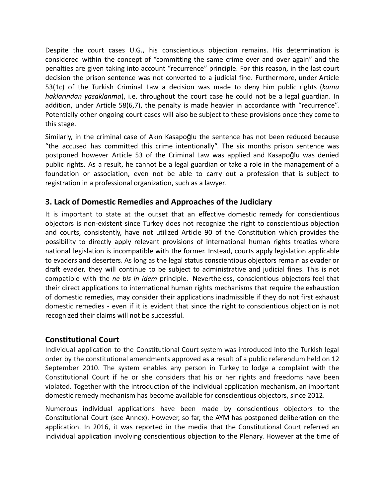Despite the court cases U.G., his conscientious objection remains. His determination is considered within the concept of "committing the same crime over and over again" and the penalties are given taking into account "recurrence" principle. For this reason, in the last court decision the prison sentence was not converted to a judicial fine. Furthermore, under Article 53(1c) of the Turkish Criminal Law a decision was made to deny him public rights (*kamu haklarından yasaklanma*), i.e. throughout the court case he could not be a legal guardian. In addition, under Article 58(6,7), the penalty is made heavier in accordance with "recurrence". Potentially other ongoing court cases will also be subject to these provisions once they come to this stage.

Similarly, in the criminal case of Akın Kasapoğlu the sentence has not been reduced because "the accused has committed this crime intentionally". The six months prison sentence was postponed however Article 53 of the Criminal Law was applied and Kasapoğlu was denied public rights. As a result, he cannot be a legal guardian or take a role in the management of a foundation or association, even not be able to carry out a profession that is subject to registration in a professional organization, such as a lawyer.

# **3. Lack of Domestic Remedies and Approaches of the Judiciary**

It is important to state at the outset that an effective domestic remedy for conscientious objectors is non-existent since Turkey does not recognize the right to conscientious objection and courts, consistently, have not utilized Article 90 of the Constitution which provides the possibility to directly apply relevant provisions of international human rights treaties where national legislation is incompatible with the former. Instead, courts apply legislation applicable to evaders and deserters. As long as the legal status conscientious objectors remain as evader or draft evader, they will continue to be subject to administrative and judicial fines. This is not compatible with the *ne bis in idem* principle. Nevertheless, conscientious objectors feel that their direct applications to international human rights mechanisms that require the exhaustion of domestic remedies, may consider their applications inadmissible if they do not first exhaust domestic remedies - even if it is evident that since the right to conscientious objection is not recognized their claims will not be successful.

# **Constitutional Court**

Individual application to the Constitutional Court system was introduced into the Turkish legal order by the constitutional amendments approved as a result of a public referendum held on 12 September 2010. The system enables any person in Turkey to lodge a complaint with the Constitutional Court if he or she considers that his or her rights and freedoms have been violated. Together with the introduction of the individual application mechanism, an important domestic remedy mechanism has become available for conscientious objectors, since 2012.

Numerous individual applications have been made by conscientious objectors to the Constitutional Court (see Annex). However, so far, the AYM has postponed deliberation on the application. In 2016, it was reported in the media that the Constitutional Court referred an individual application involving conscientious objection to the Plenary. However at the time of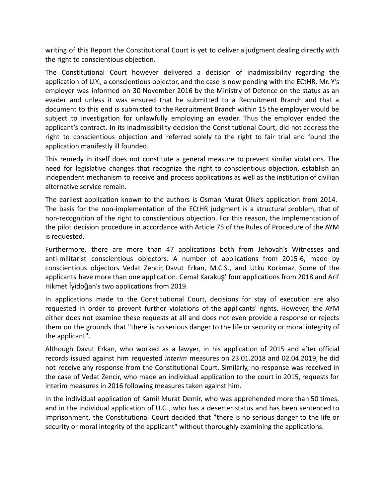writing of this Report the Constitutional Court is yet to deliver a judgment dealing directly with the right to conscientious objection.

The Constitutional Court however delivered a decision of inadmissibility regarding the application of U.Y., a conscientious objector, and the case is now pending with the ECtHR. Mr. Y's employer was informed on 30 November 2016 by the Ministry of Defence on the status as an evader and unless it was ensured that he submitted to a Recruitment Branch and that a document to this end is submitted to the Recruitment Branch within 15 the employer would be subject to investigation for unlawfully employing an evader. Thus the employer ended the applicant's contract. In its inadmissibility decision the Constitutional Court, did not address the right to conscientious objection and referred solely to the right to fair trial and found the application manifestly ill founded.

This remedy in itself does not constitute a general measure to prevent similar violations. The need for legislative changes that recognize the right to conscientious objection, establish an independent mechanism to receive and process applications as well as the institution of civilian alternative service remain.

The earliest application known to the authors is Osman Murat Ülke's application from 2014. The basis for the non-implementation of the ECtHR judgment is a structural problem, that of non-recognition of the right to conscientious objection. For this reason, the implementation of the pilot decision procedure in accordance with Article 75 of the Rules of Procedure of the AYM is requested.

Furthermore, there are more than 47 applications both from Jehovah's Witnesses and anti-militarist conscientious objectors. A number of applications from 2015-6, made by conscientious objectors Vedat Zencir, Davut Erkan, M.C.S., and Utku Korkmaz. Some of the applicants have more than one application. Cemal Karakuş' four applications from 2018 and Arif Hikmet İyidoğan's two applications from 2019.

In applications made to the Constitutional Court, decisions for stay of execution are also requested in order to prevent further violations of the applicants' rights. However, the AYM either does not examine these requests at all and does not even provide a response or rejects them on the grounds that "there is no serious danger to the life or security or moral integrity of the applicant".

Although Davut Erkan, who worked as a lawyer, in his application of 2015 and after official records issued against him requested *interim* measures on 23.01.2018 and 02.04.2019, he did not receive any response from the Constitutional Court. Similarly, no response was received in the case of Vedat Zencir, who made an individual application to the court in 2015, requests for interim measures in 2016 following measures taken against him.

In the individual application of Kamil Murat Demir, who was apprehended more than 50 times, and in the individual application of U.G., who has a deserter status and has been sentenced to imprisonment, the Constitutional Court decided that "there is no serious danger to the life or security or moral integrity of the applicant" without thoroughly examining the applications.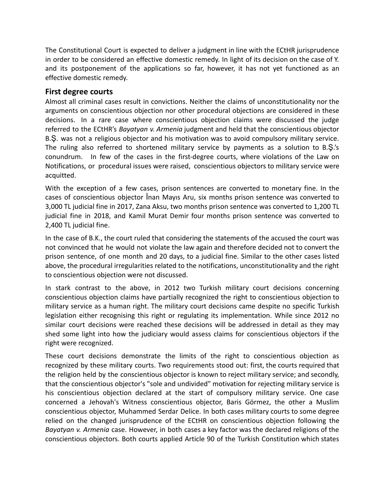The Constitutional Court is expected to deliver a judgment in line with the ECtHR jurisprudence in order to be considered an effective domestic remedy. In light of its decision on the case of Y. and its postponement of the applications so far, however, it has not yet functioned as an effective domestic remedy.

## **First degree courts**

Almost all criminal cases result in convictions. Neither the claims of unconstitutionality nor the arguments on conscientious objection nor other procedural objections are considered in these decisions. In a rare case where conscientious objection claims were discussed the judge referred to the ECtHR's *Bayatyan v. Armenia* judgment and held that the conscientious objector B.Ş. was not a religious objector and his motivation was to avoid compulsory military service. The ruling also referred to shortened military service by payments as a solution to B.Ş.'s conundrum. In few of the cases in the first-degree courts, where violations of the Law on Notifications, or procedural issues were raised, conscientious objectors to military service were acquitted.

With the exception of a few cases, prison sentences are converted to monetary fine. In the cases of conscientious objector İnan Mayıs Aru, six months prison sentence was converted to 3,000 TL judicial fine in 2017, Zana Aksu, two months prison sentence was converted to 1,200 TL judicial fine in 2018, and Kamil Murat Demir four months prison sentence was converted to 2,400 TL judicial fine.

In the case of B.K., the court ruled that considering the statements of the accused the court was not convinced that he would not violate the law again and therefore decided not to convert the prison sentence, of one month and 20 days, to a judicial fine. Similar to the other cases listed above, the procedural irregularities related to the notifications, unconstitutionality and the right to conscientious objection were not discussed.

In stark contrast to the above, in 2012 two Turkish military court decisions concerning conscientious objection claims have partially recognized the right to conscientious objection to military service as a human right. The military court decisions came despite no specific Turkish legislation either recognising this right or regulating its implementation. While since 2012 no similar court decisions were reached these decisions will be addressed in detail as they may shed some light into how the judiciary would assess claims for conscientious objectors if the right were recognized.

These court decisions demonstrate the limits of the right to conscientious objection as recognized by these military courts. Two requirements stood out: first, the courts required that the religion held by the conscientious objector is known to reject military service; and secondly, that the conscientious objector's "sole and undivided" motivation for rejecting military service is his conscientious objection declared at the start of compulsory military service. One case concerned a Jehovah's Witness conscientious objector, Baris Görmez, the other a Muslim conscientious objector, Muhammed Serdar Delice. In both cases military courts to some degree relied on the changed jurisprudence of the ECtHR on conscientious objection following the *Bayatyan v. Armenia* case. However, in both cases a key factor was the declared religions of the conscientious objectors. Both courts applied Article 90 of the Turkish Constitution which states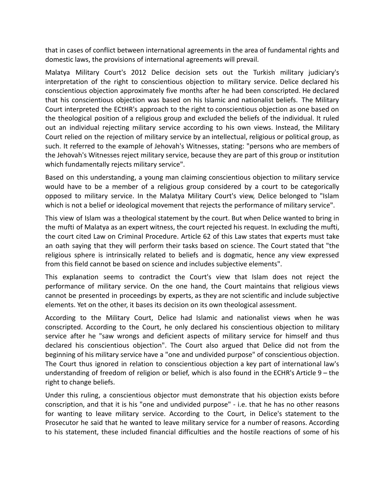that in cases of conflict between international agreements in the area of fundamental rights and domestic laws, the provisions of international agreements will prevail.

Malatya Military Court's 2012 Delice decision sets out the Turkish military judiciary's interpretation of the right to conscientious objection to military service. Delice declared his conscientious objection approximately five months after he had been conscripted. He declared that his conscientious objection was based on his Islamic and nationalist beliefs. The Military Court interpreted the ECtHR's approach to the right to conscientious objection as one based on the theological position of a religious group and excluded the beliefs of the individual. It ruled out an individual rejecting military service according to his own views. Instead, the Military Court relied on the rejection of military service by an intellectual, religious or political group, as such. It referred to the example of Jehovah's Witnesses, stating: "persons who are members of the Jehovah's Witnesses reject military service, because they are part of this group or institution which fundamentally rejects military service".

Based on this understanding, a young man claiming conscientious objection to military service would have to be a member of a religious group considered by a court to be categorically opposed to military service. In the Malatya Military Court's view, Delice belonged to "Islam which is not a belief or ideological movement that rejects the performance of military service".

This view of Islam was a theological statement by the court. But when Delice wanted to bring in the mufti of Malatya as an expert witness, the court rejected his request. In excluding the mufti, the court cited Law on Criminal Procedure. Article 62 of this Law states that experts must take an oath saying that they will perform their tasks based on science. The Court stated that "the religious sphere is intrinsically related to beliefs and is dogmatic, hence any view expressed from this field cannot be based on science and includes subjective elements".

This explanation seems to contradict the Court's view that Islam does not reject the performance of military service. On the one hand, the Court maintains that religious views cannot be presented in proceedings by experts, as they are not scientific and include subjective elements. Yet on the other, it bases its decision on its own theological assessment.

According to the Military Court, Delice had Islamic and nationalist views when he was conscripted. According to the Court, he only declared his conscientious objection to military service after he "saw wrongs and deficient aspects of military service for himself and thus declared his conscientious objection". The Court also argued that Delice did not from the beginning of his military service have a "one and undivided purpose" of conscientious objection. The Court thus ignored in relation to conscientious objection a key part of international law's understanding of freedom of religion or belief, which is also found in the ECHR's Article 9 – the right to change beliefs.

Under this ruling, a conscientious objector must demonstrate that his objection exists before conscription, and that it is his "one and undivided purpose" - i.e. that he has no other reasons for wanting to leave military service. According to the Court, in Delice's statement to the Prosecutor he said that he wanted to leave military service for a number of reasons. According to his statement, these included financial difficulties and the hostile reactions of some of his